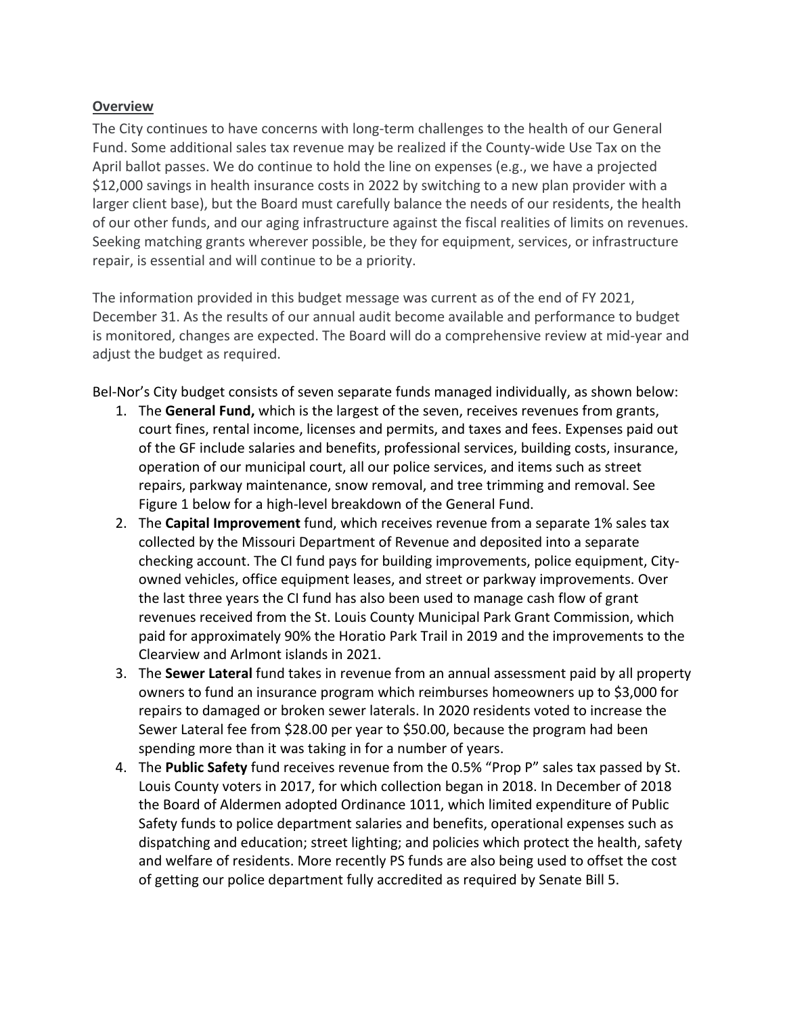## **Overview**

The City continues to have concerns with long-term challenges to the health of our General Fund. Some additional sales tax revenue may be realized if the County-wide Use Tax on the April ballot passes. We do continue to hold the line on expenses (e.g., we have a projected \$12,000 savings in health insurance costs in 2022 by switching to a new plan provider with a larger client base), but the Board must carefully balance the needs of our residents, the health of our other funds, and our aging infrastructure against the fiscal realities of limits on revenues. Seeking matching grants wherever possible, be they for equipment, services, or infrastructure repair, is essential and will continue to be a priority.

The information provided in this budget message was current as of the end of FY 2021, December 31. As the results of our annual audit become available and performance to budget is monitored, changes are expected. The Board will do a comprehensive review at mid-year and adjust the budget as required.

Bel-Nor's City budget consists of seven separate funds managed individually, as shown below:

- 1. The **General Fund,** which is the largest of the seven, receives revenues from grants, court fines, rental income, licenses and permits, and taxes and fees. Expenses paid out of the GF include salaries and benefits, professional services, building costs, insurance, operation of our municipal court, all our police services, and items such as street repairs, parkway maintenance, snow removal, and tree trimming and removal. See Figure 1 below for a high-level breakdown of the General Fund.
- 2. The **Capital Improvement** fund, which receives revenue from a separate 1% sales tax collected by the Missouri Department of Revenue and deposited into a separate checking account. The CI fund pays for building improvements, police equipment, Cityowned vehicles, office equipment leases, and street or parkway improvements. Over the last three years the CI fund has also been used to manage cash flow of grant revenues received from the St. Louis County Municipal Park Grant Commission, which paid for approximately 90% the Horatio Park Trail in 2019 and the improvements to the Clearview and Arlmont islands in 2021.
- 3. The **Sewer Lateral** fund takes in revenue from an annual assessment paid by all property owners to fund an insurance program which reimburses homeowners up to \$3,000 for repairs to damaged or broken sewer laterals. In 2020 residents voted to increase the Sewer Lateral fee from \$28.00 per year to \$50.00, because the program had been spending more than it was taking in for a number of years.
- 4. The **Public Safety** fund receives revenue from the 0.5% "Prop P" sales tax passed by St. Louis County voters in 2017, for which collection began in 2018. In December of 2018 the Board of Aldermen adopted Ordinance 1011, which limited expenditure of Public Safety funds to police department salaries and benefits, operational expenses such as dispatching and education; street lighting; and policies which protect the health, safety and welfare of residents. More recently PS funds are also being used to offset the cost of getting our police department fully accredited as required by Senate Bill 5.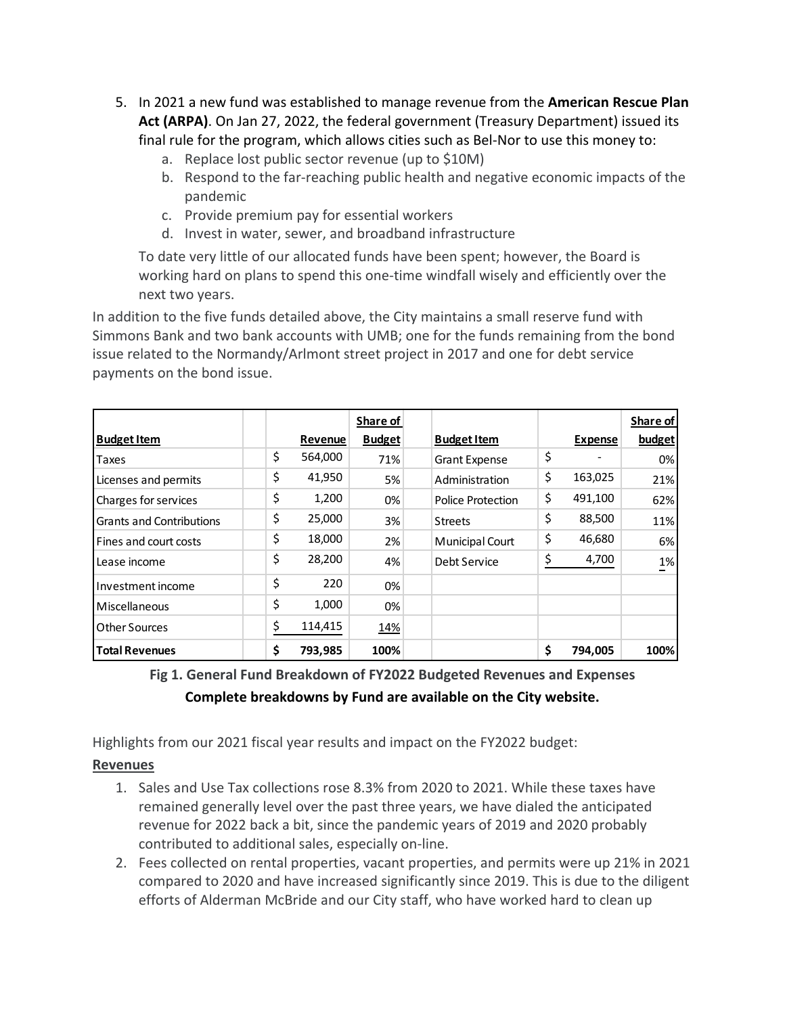- 5. In 2021 a new fund was established to manage revenue from the **American Rescue Plan Act (ARPA)**. On Jan 27, 2022, the federal government (Treasury Department) issued its final rule for the program, which allows cities such as Bel-Nor to use this money to:
	- a. Replace lost public sector revenue (up to \$10M)
	- b. Respond to the far-reaching public health and negative economic impacts of the pandemic
	- c. Provide premium pay for essential workers
	- d. Invest in water, sewer, and broadband infrastructure

To date very little of our allocated funds have been spent; however, the Board is working hard on plans to spend this one-time windfall wisely and efficiently over the next two years.

In addition to the five funds detailed above, the City maintains a small reserve fund with Simmons Bank and two bank accounts with UMB; one for the funds remaining from the bond issue related to the Normandy/Arlmont street project in 2017 and one for debt service payments on the bond issue.

|                                 |               | Share of      |                          |                | Share of |
|---------------------------------|---------------|---------------|--------------------------|----------------|----------|
| <b>Budget Item</b>              | Revenue       | <b>Budget</b> | <b>Budget Item</b>       | <b>Expense</b> | budget   |
| Taxes                           | \$<br>564,000 | 71%           | <b>Grant Expense</b>     | \$             | 0%       |
| Licenses and permits            | \$<br>41,950  | 5%            | Administration           | \$<br>163,025  | 21%      |
| Charges for services            | \$<br>1,200   | 0%            | <b>Police Protection</b> | \$<br>491,100  | 62%      |
| <b>Grants and Contributions</b> | \$<br>25,000  | 3%            | <b>Streets</b>           | \$<br>88,500   | 11%      |
| Fines and court costs           | \$<br>18,000  | 2%            | Municipal Court          | \$<br>46,680   | 6%       |
| Lease income                    | \$<br>28,200  | 4%            | Debt Service             | \$<br>4,700    | 1%       |
| Investment income               | \$<br>220     | 0%            |                          |                |          |
| Miscellaneous                   | \$<br>1,000   | 0%            |                          |                |          |
| Other Sources                   | \$<br>114,415 | 14%           |                          |                |          |
| <b>Total Revenues</b>           | \$<br>793,985 | 100%          |                          | \$<br>794,005  | 100%     |

**Fig 1. General Fund Breakdown of FY2022 Budgeted Revenues and Expenses Complete breakdowns by Fund are available on the City website.**

Highlights from our 2021 fiscal year results and impact on the FY2022 budget:

# **Revenues**

- 1. Sales and Use Tax collections rose 8.3% from 2020 to 2021. While these taxes have remained generally level over the past three years, we have dialed the anticipated revenue for 2022 back a bit, since the pandemic years of 2019 and 2020 probably contributed to additional sales, especially on-line.
- 2. Fees collected on rental properties, vacant properties, and permits were up 21% in 2021 compared to 2020 and have increased significantly since 2019. This is due to the diligent efforts of Alderman McBride and our City staff, who have worked hard to clean up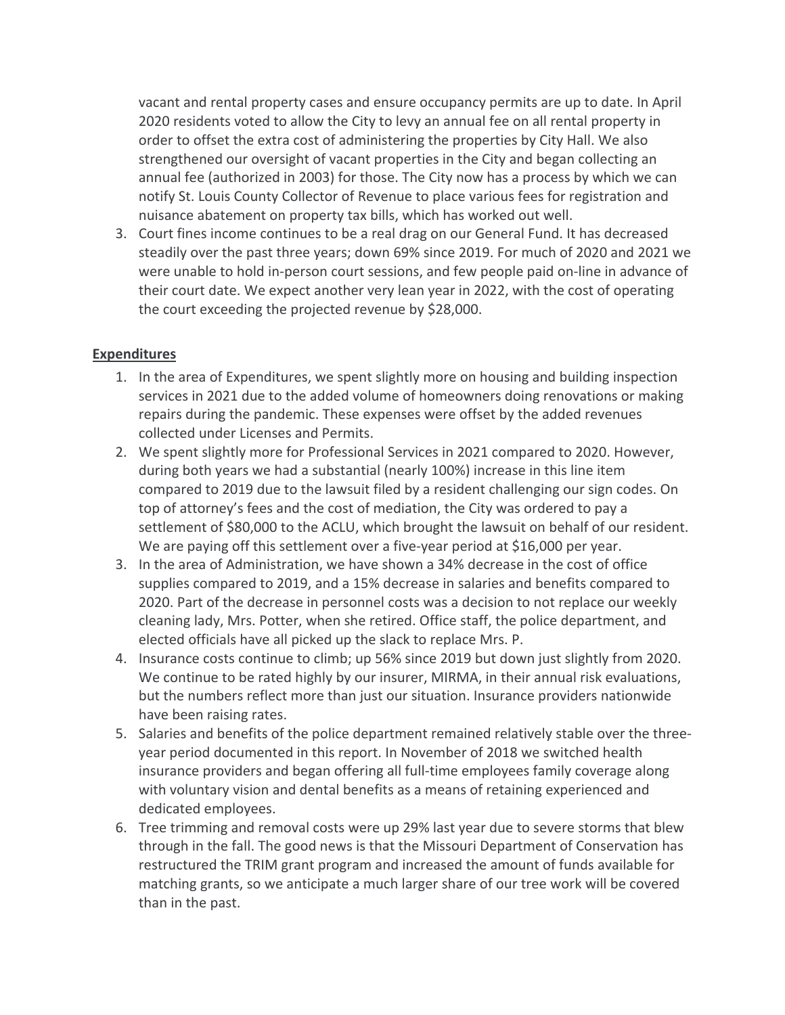vacant and rental property cases and ensure occupancy permits are up to date. In April 2020 residents voted to allow the City to levy an annual fee on all rental property in order to offset the extra cost of administering the properties by City Hall. We also strengthened our oversight of vacant properties in the City and began collecting an annual fee (authorized in 2003) for those. The City now has a process by which we can notify St. Louis County Collector of Revenue to place various fees for registration and nuisance abatement on property tax bills, which has worked out well.

3. Court fines income continues to be a real drag on our General Fund. It has decreased steadily over the past three years; down 69% since 2019. For much of 2020 and 2021 we were unable to hold in-person court sessions, and few people paid on-line in advance of their court date. We expect another very lean year in 2022, with the cost of operating the court exceeding the projected revenue by \$28,000.

## **Expenditures**

- 1. In the area of Expenditures, we spent slightly more on housing and building inspection services in 2021 due to the added volume of homeowners doing renovations or making repairs during the pandemic. These expenses were offset by the added revenues collected under Licenses and Permits.
- 2. We spent slightly more for Professional Services in 2021 compared to 2020. However, during both years we had a substantial (nearly 100%) increase in this line item compared to 2019 due to the lawsuit filed by a resident challenging our sign codes. On top of attorney's fees and the cost of mediation, the City was ordered to pay a settlement of \$80,000 to the ACLU, which brought the lawsuit on behalf of our resident. We are paying off this settlement over a five-year period at \$16,000 per year.
- 3. In the area of Administration, we have shown a 34% decrease in the cost of office supplies compared to 2019, and a 15% decrease in salaries and benefits compared to 2020. Part of the decrease in personnel costs was a decision to not replace our weekly cleaning lady, Mrs. Potter, when she retired. Office staff, the police department, and elected officials have all picked up the slack to replace Mrs. P.
- 4. Insurance costs continue to climb; up 56% since 2019 but down just slightly from 2020. We continue to be rated highly by our insurer, MIRMA, in their annual risk evaluations, but the numbers reflect more than just our situation. Insurance providers nationwide have been raising rates.
- 5. Salaries and benefits of the police department remained relatively stable over the threeyear period documented in this report. In November of 2018 we switched health insurance providers and began offering all full-time employees family coverage along with voluntary vision and dental benefits as a means of retaining experienced and dedicated employees.
- 6. Tree trimming and removal costs were up 29% last year due to severe storms that blew through in the fall. The good news is that the Missouri Department of Conservation has restructured the TRIM grant program and increased the amount of funds available for matching grants, so we anticipate a much larger share of our tree work will be covered than in the past.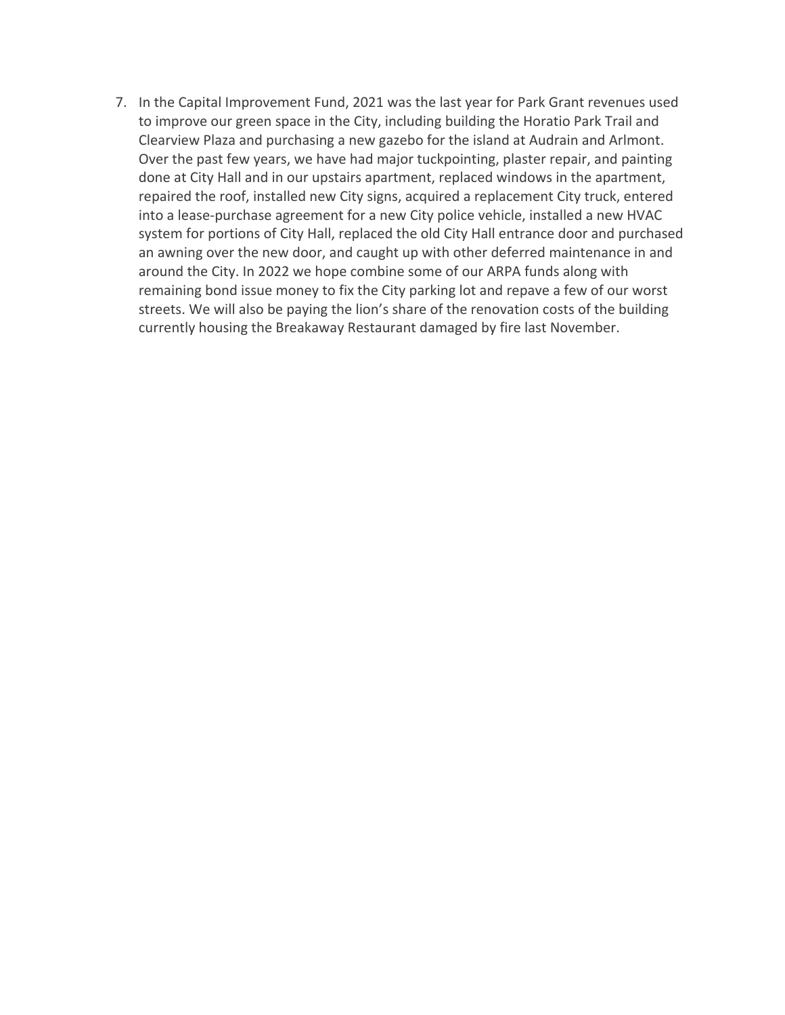7. In the Capital Improvement Fund, 2021 was the last year for Park Grant revenues used to improve our green space in the City, including building the Horatio Park Trail and Clearview Plaza and purchasing a new gazebo for the island at Audrain and Arlmont. Over the past few years, we have had major tuckpointing, plaster repair, and painting done at City Hall and in our upstairs apartment, replaced windows in the apartment, repaired the roof, installed new City signs, acquired a replacement City truck, entered into a lease-purchase agreement for a new City police vehicle, installed a new HVAC system for portions of City Hall, replaced the old City Hall entrance door and purchased an awning over the new door, and caught up with other deferred maintenance in and around the City. In 2022 we hope combine some of our ARPA funds along with remaining bond issue money to fix the City parking lot and repave a few of our worst streets. We will also be paying the lion's share of the renovation costs of the building currently housing the Breakaway Restaurant damaged by fire last November.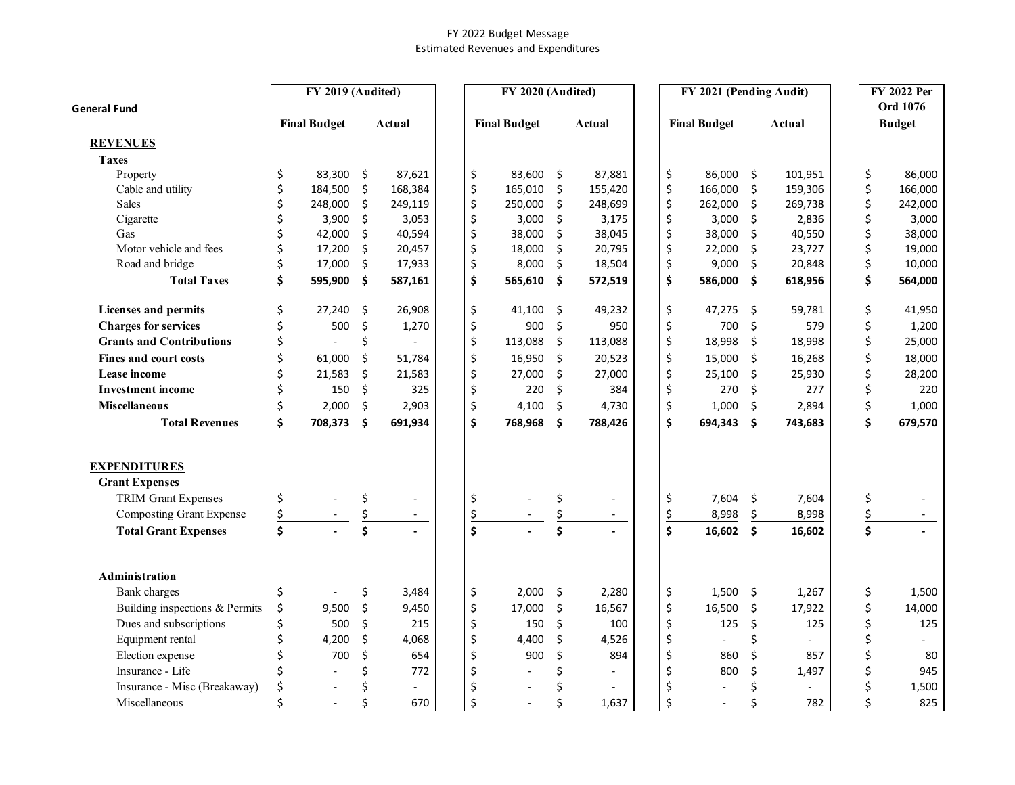#### FY 2022 Budget Message Estimated Revenues and Expenditures

|                                 |                    | FY 2019 (Audited)   |    |               |                               | FY 2020 (Audited)   |         |               |               | FY 2021 (Pending Audit) |                     |                |               | <b>FY 2022 Per</b> |
|---------------------------------|--------------------|---------------------|----|---------------|-------------------------------|---------------------|---------|---------------|---------------|-------------------------|---------------------|----------------|---------------|--------------------|
| <b>General Fund</b>             |                    |                     |    |               |                               |                     |         |               |               |                         |                     |                |               | Ord 1076           |
|                                 |                    | <b>Final Budget</b> |    | <u>Actual</u> |                               | <b>Final Budget</b> |         | <b>Actual</b> |               | <b>Final Budget</b>     |                     | <b>Actual</b>  |               | <b>Budget</b>      |
| <b>REVENUES</b>                 |                    |                     |    |               |                               |                     |         |               |               |                         |                     |                |               |                    |
| <b>Taxes</b>                    |                    |                     |    |               |                               |                     |         |               |               |                         |                     |                |               |                    |
| Property                        | \$                 | 83,300              | \$ | 87,621        | \$                            | 83,600              | \$      | 87,881        | \$            | 86,000                  | \$                  | 101,951        | \$            | 86,000             |
| Cable and utility               | \$                 | 184,500             | \$ | 168,384       | \$                            | 165,010             | \$      | 155,420       | \$            | 166,000                 | \$                  | 159,306        | \$            | 166,000            |
| <b>Sales</b>                    | \$                 | 248,000             | \$ | 249,119       | \$                            | 250,000             | \$      | 248,699       | \$            | 262,000                 | \$                  | 269,738        | \$            | 242,000            |
| Cigarette                       | \$                 | 3,900               | \$ | 3,053         | \$                            | 3,000               | \$      | 3,175         | \$            | 3,000                   | \$                  | 2,836          | \$            | 3,000              |
| Gas                             | \$                 | 42,000              | \$ | 40,594        | \$                            | 38,000              | \$      | 38,045        | \$            | 38,000                  | \$                  | 40,550         | \$            | 38,000             |
| Motor vehicle and fees          | \$                 | 17,200              | \$ | 20,457        | \$                            | 18,000              | \$      | 20,795        | \$            | 22,000                  | \$                  | 23,727         | \$            | 19,000             |
| Road and bridge                 | $rac{5}{5}$        | 17,000              | \$ | 17,933        | \$                            | 8,000               | \$      | 18,504        | \$            | 9,000                   | \$                  | 20,848         | $\frac{1}{2}$ | 10,000             |
| <b>Total Taxes</b>              |                    | 595,900             | \$ | 587,161       | $\overline{\boldsymbol{\xi}}$ | 565,610             | \$      | 572,519       | \$            | 586,000                 | \$                  | 618,956        | \$            | 564,000            |
| <b>Licenses and permits</b>     | \$                 | 27,240              | \$ | 26,908        | \$                            | 41,100              | Ŝ.      | 49,232        | \$            | 47,275                  | \$.                 | 59,781         | \$            | 41,950             |
| <b>Charges for services</b>     | \$                 | 500                 | \$ | 1,270         | \$                            | 900                 | $\zeta$ | 950           | \$            | 700                     | \$                  | 579            | \$            | 1,200              |
| <b>Grants and Contributions</b> | \$                 |                     | \$ |               | \$                            | 113,088             | \$      | 113,088       | \$            | 18,998                  | \$                  | 18,998         | \$            | 25,000             |
| Fines and court costs           | \$                 | 61,000              | \$ | 51,784        | \$                            | 16,950              | $\zeta$ | 20,523        | \$            | 15,000                  | \$                  | 16,268         | \$            | 18,000             |
| Lease income                    | \$                 | 21,583              | \$ | 21,583        | \$                            | 27,000              | \$      | 27,000        | \$            | 25,100                  | \$                  | 25,930         | \$            | 28,200             |
| <b>Investment income</b>        | \$                 | 150                 | Ś. | 325           | \$                            | 220                 | Ś.      | 384           | \$            | 270                     | Ś.                  | 277            | \$            | 220                |
| <b>Miscellaneous</b>            | \$                 | 2,000               | \$ | 2,903         | \$                            | 4,100               | \$      | 4,730         | \$            | 1,000                   | \$                  | 2,894          | $\frac{5}{2}$ | 1,000              |
| <b>Total Revenues</b>           | \$                 | 708,373             | \$ | 691,934       | $\overline{\boldsymbol{\xi}}$ | 768,968             | \$      | 788,426       | \$            | 694,343                 | \$                  | 743,683        | \$            | 679,570            |
|                                 |                    |                     |    |               |                               |                     |         |               |               |                         |                     |                |               |                    |
| <b>EXPENDITURES</b>             |                    |                     |    |               |                               |                     |         |               |               |                         |                     |                |               |                    |
| <b>Grant Expenses</b>           |                    |                     |    |               |                               |                     |         |               |               |                         |                     |                |               |                    |
| <b>TRIM Grant Expenses</b>      | \$                 |                     | \$ |               | \$                            |                     | \$      | $\sim$        | \$            | 7,604                   | \$                  | 7,604          | \$            |                    |
| <b>Composting Grant Expense</b> | $\frac{1}{2}$      |                     | \$ | $\omega$      | \$                            |                     | \$      | $\sim$        | $\frac{1}{2}$ | 8,998                   | \$                  | 8,998          | $\frac{5}{2}$ |                    |
| <b>Total Grant Expenses</b>     | $\dot{\mathsf{s}}$ |                     | Ś  |               | \$                            |                     | Ś       |               | Ś             | 16,602                  | $\ddot{\bm{\zeta}}$ | 16,602         | \$            |                    |
| <b>Administration</b>           |                    |                     |    |               |                               |                     |         |               |               |                         |                     |                |               |                    |
| <b>Bank</b> charges             | \$                 |                     | \$ | 3,484         | \$                            | 2,000               | \$      | 2,280         | \$            | 1,500                   | \$                  | 1,267          | \$            | 1,500              |
| Building inspections & Permits  | \$                 | 9,500               | \$ | 9,450         | \$                            | 17,000              | $\zeta$ | 16,567        | \$            | 16,500                  | \$                  | 17,922         | \$            | 14,000             |
| Dues and subscriptions          | \$                 | 500                 | \$ | 215           | \$                            | 150                 | \$      | 100           | \$            | 125                     | \$                  | 125            | \$            | 125                |
| Equipment rental                | \$                 | 4,200               | \$ | 4,068         | \$                            | 4,400               | \$      | 4,526         | \$            |                         | \$                  | $\overline{a}$ | \$            |                    |
| Election expense                | \$                 | 700                 | \$ | 654           | \$                            | 900                 | \$      | 894           | \$            | 860                     | \$                  | 857            | \$            | 80                 |
| Insurance - Life                | \$                 |                     | \$ | 772           | \$                            | $\blacksquare$      | \$      |               | \$            | 800                     | \$                  | 1,497          | \$            | 945                |
| Insurance - Misc (Breakaway)    | \$                 |                     | \$ |               | \$                            |                     | Ś       |               | \$            |                         | Ś.                  | $\overline{a}$ | \$            | 1,500              |
| Miscellaneous                   | $\zeta$            |                     | \$ | 670           | \$                            |                     | \$      | 1,637         | \$            |                         | \$                  | 782            | \$            | 825                |
|                                 |                    |                     |    |               |                               |                     |         |               |               |                         |                     |                |               |                    |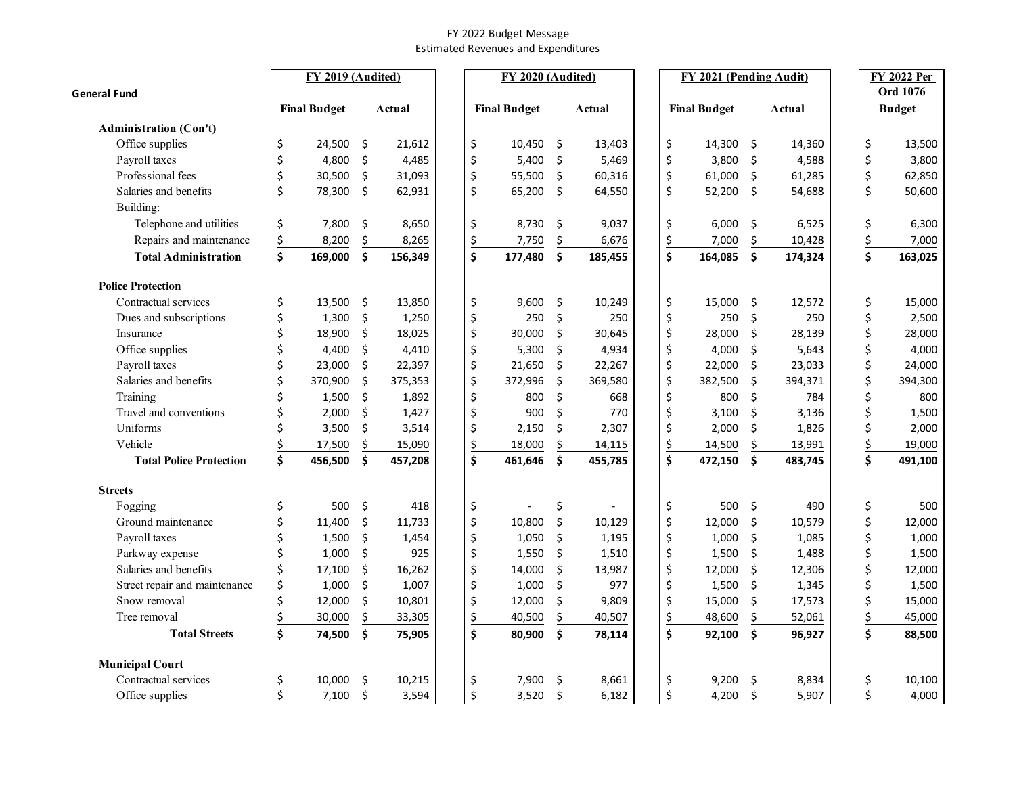#### FY 2022 Budget Message Estimated Revenues and Expenditures

|                                |               | FY 2019 (Audited)   |               |           | FY 2020 (Audited)   |                     |         |    | FY 2021 (Pending Audit) |               |    | <b>FY 2022 Per</b> |
|--------------------------------|---------------|---------------------|---------------|-----------|---------------------|---------------------|---------|----|-------------------------|---------------|----|--------------------|
| <b>General Fund</b>            |               |                     |               |           |                     |                     |         |    |                         |               |    | Ord 1076           |
|                                |               | <b>Final Budget</b> | Actual        |           | <b>Final Budget</b> |                     | Actual  |    | <b>Final Budget</b>     | Actual        |    | <b>Budget</b>      |
| <b>Administration (Con't)</b>  |               |                     |               |           |                     |                     |         |    |                         |               |    |                    |
| Office supplies                | \$            | 24,500              | \$<br>21,612  | \$        | 10,450 \$           |                     | 13,403  | \$ | 14,300                  | \$<br>14,360  | \$ | 13,500             |
| Payroll taxes                  | \$            | 4,800               | \$<br>4,485   | \$        | 5,400               | \$                  | 5,469   | \$ | 3,800                   | \$<br>4,588   | \$ | 3,800              |
| Professional fees              | \$            | 30,500              | \$<br>31,093  | \$        | 55,500              | \$                  | 60,316  | \$ | 61,000                  | \$<br>61,285  | \$ | 62,850             |
| Salaries and benefits          | \$            | 78,300              | \$<br>62,931  | \$        | 65,200              | \$                  | 64,550  | \$ | 52,200                  | \$<br>54,688  | \$ | 50,600             |
| Building:                      |               |                     |               |           |                     |                     |         |    |                         |               |    |                    |
| Telephone and utilities        | \$            | 7,800               | \$<br>8,650   | \$        | 8,730               | \$                  | 9,037   | \$ | 6,000                   | \$<br>6,525   | \$ | 6,300              |
| Repairs and maintenance        | \$            | 8,200               | \$<br>8,265   | \$        | 7,750               | \$                  | 6,676   | \$ | 7,000                   | \$<br>10,428  | \$ | 7,000              |
| <b>Total Administration</b>    | \$            | 169,000             | \$<br>156,349 | \$        | 177,480             | \$                  | 185,455 | \$ | 164,085                 | \$<br>174,324 | \$ | 163,025            |
| <b>Police Protection</b>       |               |                     |               |           |                     |                     |         |    |                         |               |    |                    |
| Contractual services           | \$            | 13,500              | \$<br>13,850  | \$        | $9,600$ \$          |                     | 10,249  | \$ | 15,000                  | \$<br>12,572  | \$ | 15,000             |
| Dues and subscriptions         | \$            | 1,300               | \$<br>1,250   | \$        | 250                 | \$                  | 250     | \$ | 250                     | \$<br>250     | \$ | 2,500              |
| Insurance                      | \$            | 18,900              | \$<br>18,025  | \$        | 30,000              | \$                  | 30,645  | \$ | 28,000                  | \$<br>28,139  | \$ | 28,000             |
| Office supplies                | \$            | 4,400               | \$<br>4,410   | \$        | 5,300               | \$                  | 4,934   | \$ | 4,000                   | \$<br>5,643   | \$ | 4,000              |
| Payroll taxes                  | \$            | 23,000              | \$<br>22,397  | \$        | 21,650              | \$                  | 22,267  | \$ | 22,000                  | \$<br>23,033  | \$ | 24,000             |
| Salaries and benefits          | \$            | 370,900             | \$<br>375,353 | \$        | 372,996             | \$                  | 369,580 | \$ | 382,500                 | \$<br>394,371 | \$ | 394,300            |
| Training                       | \$            | 1,500               | \$<br>1,892   | \$        | 800                 | \$                  | 668     | \$ | 800                     | \$<br>784     | \$ | 800                |
| Travel and conventions         | \$            | 2,000               | \$<br>1,427   | \$        | 900                 | Ś.                  | 770     | \$ | 3,100                   | \$<br>3,136   | \$ | 1,500              |
| Uniforms                       | \$            | 3,500               | \$<br>3,514   | \$        | 2,150               | \$                  | 2,307   | \$ | 2,000                   | \$<br>1,826   | \$ | 2,000              |
| Vehicle                        | $\frac{1}{2}$ | 17,500              | \$<br>15,090  | <u>\$</u> | 18,000              | \$                  | 14,115  | \$ | 14,500                  | \$<br>13,991  | \$ | 19,000             |
| <b>Total Police Protection</b> | \$            | 456,500             | \$<br>457,208 | \$        | 461,646             | $\mathsf{\hat{S}}$  | 455,785 | \$ | 472,150                 | \$<br>483,745 | \$ | 491,100            |
| <b>Streets</b>                 |               |                     |               |           |                     |                     |         |    |                         |               |    |                    |
| Fogging                        | \$            | 500                 | \$<br>418     | \$        |                     | \$                  |         | \$ | 500                     | \$<br>490     | \$ | 500                |
| Ground maintenance             | \$            | 11,400              | \$<br>11,733  | \$        | 10,800              | \$                  | 10,129  | \$ | 12,000                  | \$<br>10,579  | \$ | 12,000             |
| Payroll taxes                  | \$            | 1,500               | \$<br>1,454   | \$        | 1,050               | \$                  | 1,195   | \$ | 1,000                   | \$<br>1,085   | \$ | 1,000              |
| Parkway expense                | \$            | 1,000               | \$<br>925     | \$        | 1,550               | \$                  | 1,510   | \$ | 1,500                   | \$<br>1,488   | \$ | 1,500              |
| Salaries and benefits          | \$            | 17,100              | \$<br>16,262  | \$        | 14,000              | \$                  | 13,987  | \$ | 12,000                  | \$<br>12,306  | \$ | 12,000             |
| Street repair and maintenance  | \$            | 1,000               | \$<br>1,007   | \$        | 1,000               | \$                  | 977     | \$ | 1,500                   | \$<br>1,345   | \$ | 1,500              |
| Snow removal                   | \$            | 12,000              | \$<br>10,801  | \$        | 12,000              | \$                  | 9,809   | \$ | 15,000                  | \$<br>17,573  | \$ | 15,000             |
| Tree removal                   | \$            | 30,000              | \$<br>33,305  | \$        | 40,500              | \$                  | 40,507  | \$ | 48,600                  | \$<br>52,061  | \$ | 45,000             |
| <b>Total Streets</b>           | \$            | 74,500              | \$<br>75,905  | \$        | 80,900              | \$                  | 78,114  | \$ | 92,100                  | \$<br>96,927  | \$ | 88,500             |
| <b>Municipal Court</b>         |               |                     |               |           |                     |                     |         |    |                         |               |    |                    |
| Contractual services           | \$            | 10.000              | \$<br>10,215  | \$        | 7,900               | -\$                 | 8,661   | \$ | 9,200                   | \$<br>8,834   | \$ | 10,100             |
| Office supplies                | \$            | 7,100               | \$<br>3,594   | \$        | 3,520               | $\ddot{\mathsf{s}}$ | 6,182   | \$ | 4,200                   | \$<br>5,907   | \$ | 4,000              |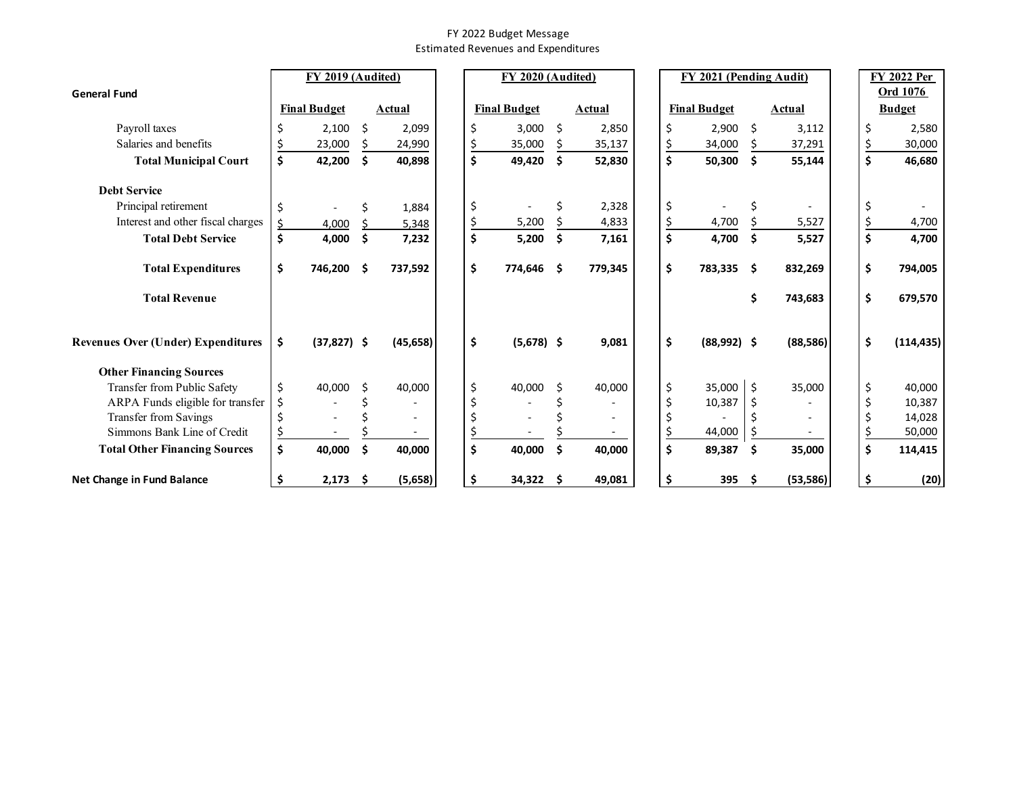#### FY 2022 Budget Message Estimated Revenues and Expenditures

|                                           | FY 2019 (Audited) |                     |     | FY 2020 (Audited)<br>FY 2021 (Pending Audit) |    |                     |      |         |  |    | <b>FY 2022 Per</b>  |    |           |  |    |               |
|-------------------------------------------|-------------------|---------------------|-----|----------------------------------------------|----|---------------------|------|---------|--|----|---------------------|----|-----------|--|----|---------------|
| <b>General Fund</b>                       |                   |                     |     |                                              |    |                     |      |         |  |    |                     |    |           |  |    | Ord 1076      |
|                                           |                   | <b>Final Budget</b> |     | Actual                                       |    | <b>Final Budget</b> |      | Actual  |  |    | <b>Final Budget</b> |    | Actual    |  |    | <b>Budget</b> |
| Payroll taxes                             |                   | 2,100               | Ś.  | 2,099                                        |    | 3,000               | - \$ | 2,850   |  | \$ | 2,900               | Ŝ. | 3,112     |  | \$ | 2,580         |
| Salaries and benefits                     |                   | 23,000              |     | 24,990                                       |    | 35,000              |      | 35,137  |  | Ś  | 34,000              |    | 37,291    |  | \$ | 30,000        |
| <b>Total Municipal Court</b>              | \$                | 42,200              | \$  | 40,898                                       | Ś  | 49,420              | Ŝ.   | 52,830  |  | \$ | 50,300              | \$ | 55,144    |  | \$ | 46,680        |
| <b>Debt Service</b>                       |                   |                     |     |                                              |    |                     |      |         |  |    |                     |    |           |  |    |               |
| Principal retirement                      |                   |                     |     | 1,884                                        | \$ |                     |      | 2,328   |  | \$ |                     |    |           |  | \$ |               |
| Interest and other fiscal charges         |                   | 4,000               |     | 5,348                                        |    | 5,200               |      | 4,833   |  | Ś. | 4,700               |    | 5,527     |  | \$ | 4,700         |
| <b>Total Debt Service</b>                 | \$                | 4,000               | \$  | 7,232                                        | Ś  | 5,200               | \$   | 7,161   |  | \$ | 4,700               | \$ | 5,527     |  | \$ | 4,700         |
| <b>Total Expenditures</b>                 | \$                | 746,200             | \$. | 737,592                                      | \$ | 774,646 \$          |      | 779,345 |  | \$ | 783,335 \$          |    | 832,269   |  | \$ | 794,005       |
| <b>Total Revenue</b>                      |                   |                     |     |                                              |    |                     |      |         |  |    |                     | \$ | 743,683   |  | \$ | 679,570       |
| <b>Revenues Over (Under) Expenditures</b> | \$                | $(37,827)$ \$       |     | (45, 658)                                    | \$ | $(5,678)$ \$        |      | 9,081   |  | \$ | $(88,992)$ \$       |    | (88, 586) |  | \$ | (114, 435)    |
| <b>Other Financing Sources</b>            |                   |                     |     |                                              |    |                     |      |         |  |    |                     |    |           |  |    |               |
| Transfer from Public Safety               | \$                | 40,000              |     | 40,000                                       | Ś  | 40,000              | Ŝ.   | 40,000  |  | \$ | $35,000$ \$         |    | 35,000    |  | \$ | 40,000        |
| ARPA Funds eligible for transfer          |                   |                     |     |                                              |    |                     |      |         |  | Ś  | 10,387              |    |           |  | \$ | 10,387        |
| <b>Transfer from Savings</b>              |                   |                     |     |                                              |    |                     |      |         |  |    |                     |    |           |  | \$ | 14,028        |
| Simmons Bank Line of Credit               |                   |                     |     |                                              |    |                     |      |         |  |    | 44,000              |    |           |  | \$ | 50,000        |
| <b>Total Other Financing Sources</b>      | \$                | 40,000              | Ś   | 40,000                                       | Ś  | 40,000              | Ś.   | 40,000  |  | \$ | 89,387              | \$ | 35,000    |  | \$ | 114,415       |
| Net Change in Fund Balance                |                   | 2,173               | Ŝ   | (5,658)                                      | Ŝ  | $34,322$ \$         |      | 49,081  |  | \$ | 395                 | Ŝ  | (53, 586) |  | \$ | (20)          |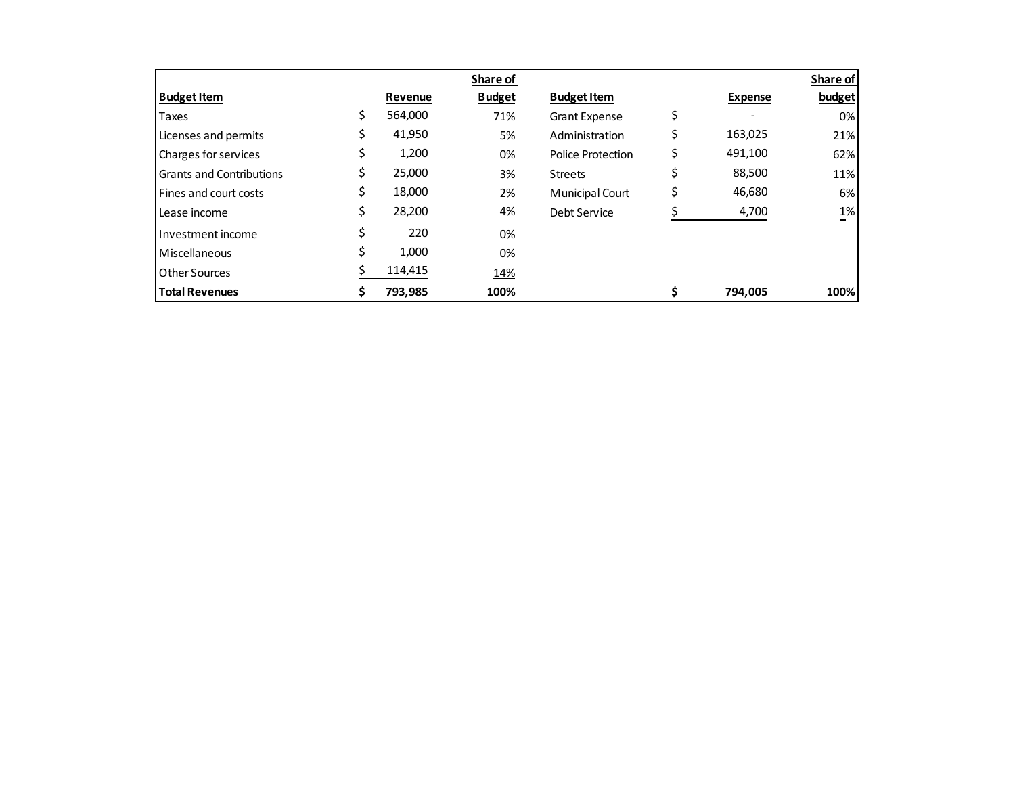|                                 |               | Share of      |                      |                | Share of |
|---------------------------------|---------------|---------------|----------------------|----------------|----------|
| <b>Budget Item</b>              | Revenue       | <b>Budget</b> | <b>Budget Item</b>   | <b>Expense</b> | budget   |
| Taxes                           | \$<br>564,000 | 71%           | <b>Grant Expense</b> | \$             | $0\%$    |
| Licenses and permits            | \$<br>41,950  | 5%            | Administration       | 163,025        | 21%      |
| Charges for services            | \$<br>1,200   | 0%            | Police Protection    | 491,100        | 62%      |
| <b>Grants and Contributions</b> | \$<br>25,000  | 3%            | <b>Streets</b>       | 88,500         | 11%      |
| Fines and court costs           | \$<br>18,000  | 2%            | Municipal Court      | 46,680         | 6%       |
| Lease income                    | \$<br>28,200  | 4%            | Debt Service         | 4,700          | $1\%$    |
| Investment income               | 220           | 0%            |                      |                |          |
| Miscellaneous                   | 1,000         | 0%            |                      |                |          |
| <b>Other Sources</b>            | 114,415       | 14%           |                      |                |          |
| <b>Total Revenues</b>           | \$<br>793,985 | 100%          |                      | 794,005        | 100%     |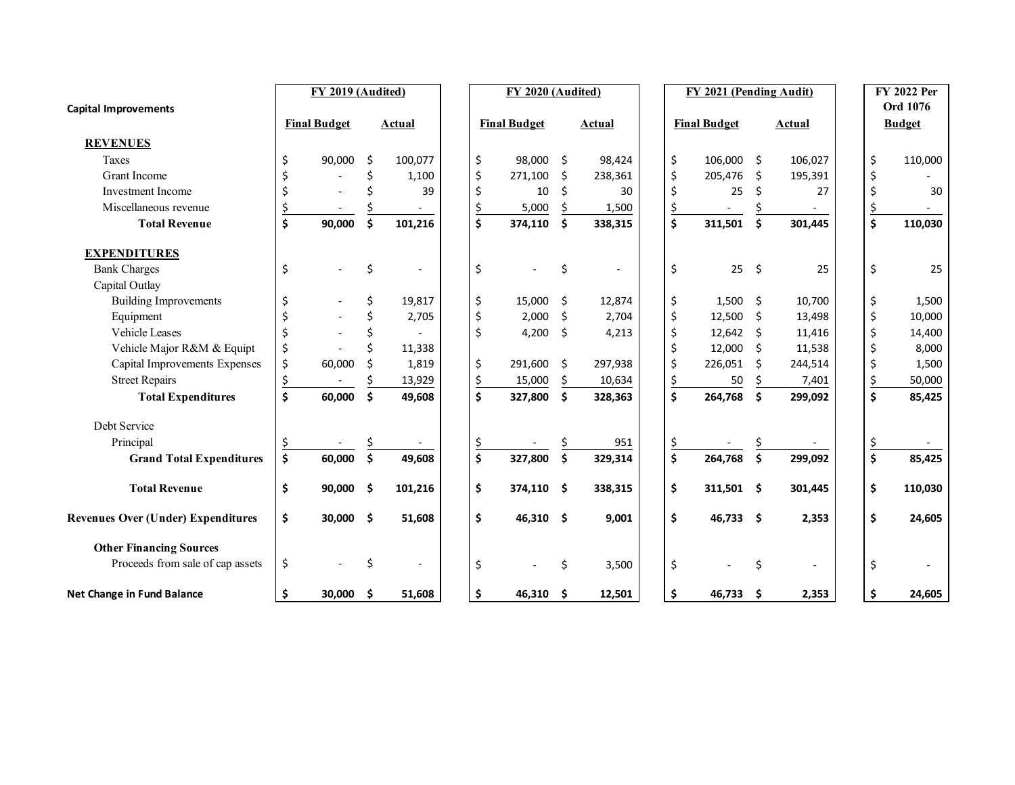| <b>Capital Improvements</b>               | FY 2019 (Audited) |                     |      | FY 2020 (Audited)<br>FY 2021 (Pending Audit) |  |           |                     |      |         |           |                     |      | <b>FY 2022 Per</b><br>Ord 1076 |  |           |               |
|-------------------------------------------|-------------------|---------------------|------|----------------------------------------------|--|-----------|---------------------|------|---------|-----------|---------------------|------|--------------------------------|--|-----------|---------------|
|                                           |                   | <b>Final Budget</b> |      | Actual                                       |  |           | <b>Final Budget</b> |      | Actual  |           | <b>Final Budget</b> |      | <b>Actual</b>                  |  |           | <b>Budget</b> |
| <b>REVENUES</b>                           |                   |                     |      |                                              |  |           |                     |      |         |           |                     |      |                                |  |           |               |
| Taxes                                     | \$                | 90,000              | Ŝ.   | 100,077                                      |  | \$        | 98,000 \$           |      | 98,424  | \$        | 106,000             | -\$  | 106,027                        |  | \$        | 110,000       |
| <b>Grant Income</b>                       |                   |                     | ς    | 1,100                                        |  | \$        | 271,100             | Ŝ.   | 238,361 | Ś         | 205,476             | -Ś   | 195,391                        |  | \$        |               |
| <b>Investment Income</b>                  |                   |                     |      | 39                                           |  | \$        | 10                  | Ś.   | 30      |           | 25                  | \$   | 27                             |  | \$        | 30            |
| Miscellaneous revenue                     |                   |                     |      |                                              |  | \$        | 5,000               | \$   | 1,500   | \$        |                     |      |                                |  | \$        |               |
| <b>Total Revenue</b>                      | \$                | 90,000              | \$   | 101,216                                      |  | \$        | 374,110             | \$   | 338,315 | \$        | 311,501             | \$   | 301,445                        |  | \$        | 110,030       |
| <b>EXPENDITURES</b>                       |                   |                     |      |                                              |  |           |                     |      |         |           |                     |      |                                |  |           |               |
| <b>Bank Charges</b>                       | \$                |                     | \$   |                                              |  | \$        |                     | \$   |         | \$        | 25                  | -\$  | 25                             |  | \$        | 25            |
| Capital Outlay                            |                   |                     |      |                                              |  |           |                     |      |         |           |                     |      |                                |  |           |               |
| <b>Building Improvements</b>              |                   |                     | Ś    | 19,817                                       |  | \$        | 15,000              | -\$  | 12,874  | \$        | 1,500               | - \$ | 10,700                         |  | \$        | 1,500         |
| Equipment                                 |                   |                     |      | 2,705                                        |  | \$        | 2,000               | \$   | 2,704   | Ś         | 12,500              | -\$  | 13,498                         |  | \$        | 10,000        |
| Vehicle Leases                            |                   |                     |      |                                              |  | Ś         | 4,200               | - \$ | 4,213   |           | 12,642              | -\$  | 11,416                         |  | \$        | 14,400        |
| Vehicle Major R&M & Equipt                | \$                |                     |      | 11,338                                       |  |           |                     |      |         |           | 12,000              | -\$  | 11,538                         |  | \$        | 8,000         |
| Capital Improvements Expenses             | \$                | 60,000              | Ś    | 1,819                                        |  | \$        | 291,600             | - \$ | 297,938 | Ś         | 226,051             | Ś.   | 244,514                        |  | \$        | 1,500         |
| <b>Street Repairs</b>                     | <u>\$</u>         |                     |      | 13,929                                       |  | <u>\$</u> | 15,000              | \$   | 10,634  | \$        | 50                  |      | 7,401                          |  | \$        | 50,000        |
| <b>Total Expenditures</b>                 | \$                | 60,000              | \$   | 49,608                                       |  | \$        | 327,800             | \$   | 328,363 | \$        | 264,768             | \$   | 299,092                        |  | \$        | 85,425        |
| Debt Service                              |                   |                     |      |                                              |  |           |                     |      |         |           |                     |      |                                |  |           |               |
| Principal                                 |                   |                     |      |                                              |  | <u>\$</u> |                     |      | 951     | <u>\$</u> |                     |      |                                |  | <u>\$</u> |               |
| <b>Grand Total Expenditures</b>           | \$                | 60,000              | \$   | 49,608                                       |  | \$        | 327,800             | \$   | 329,314 | \$        | 264,768             | \$   | 299,092                        |  | \$        | 85,425        |
| <b>Total Revenue</b>                      | \$                | 90,000              | - \$ | 101,216                                      |  | \$        | 374,110 \$          |      | 338,315 | \$        | 311,501 \$          |      | 301,445                        |  | \$        | 110,030       |
| <b>Revenues Over (Under) Expenditures</b> | \$                | 30,000 \$           |      | 51,608                                       |  | \$        | 46,310 \$           |      | 9,001   | \$        | $46,733$ \$         |      | 2,353                          |  | \$        | 24,605        |
| <b>Other Financing Sources</b>            |                   |                     |      |                                              |  |           |                     |      |         |           |                     |      |                                |  |           |               |
| Proceeds from sale of cap assets          | \$                |                     | Ś    |                                              |  | \$        |                     | \$   | 3,500   | \$        |                     | \$   |                                |  | \$        |               |
| Net Change in Fund Balance                | \$                | 30,000              | - \$ | 51,608                                       |  | \$        | 46,310 \$           |      | 12,501  | \$        | 46,733              | - Ś  | 2,353                          |  | \$        | 24,605        |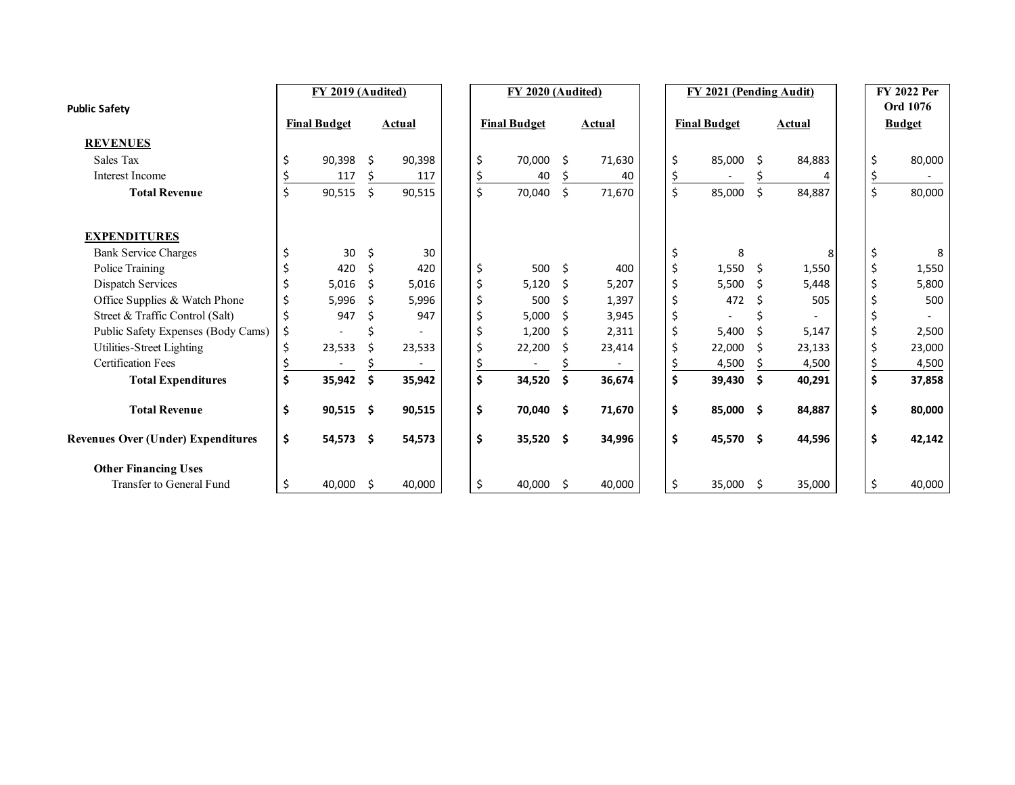| <b>Public Safety</b>                      |    | FY 2019 (Audited)   |     |        |    | FY 2020 (Audited)   |    |        |    | FY 2021 (Pending Audit) |     |        |           | FY 2022 Per<br>Ord 1076 |
|-------------------------------------------|----|---------------------|-----|--------|----|---------------------|----|--------|----|-------------------------|-----|--------|-----------|-------------------------|
|                                           |    | <b>Final Budget</b> |     | Actual |    | <b>Final Budget</b> |    | Actual |    | <b>Final Budget</b>     |     | Actual |           | <b>Budget</b>           |
| <b>REVENUES</b>                           |    |                     |     |        |    |                     |    |        |    |                         |     |        |           |                         |
| Sales Tax                                 |    | 90.398              | Ŝ.  | 90,398 | \$ | 70,000              | Ŝ. | 71,630 | Ś  | 85,000                  | Ŝ.  | 84,883 | \$        | 80,000                  |
| Interest Income                           |    | 117                 |     | 117    |    | 40                  |    | 40     | Ś  |                         |     |        |           |                         |
| <b>Total Revenue</b>                      | Ś. | 90,515              | \$  | 90,515 | \$ | 70,040              | \$ | 71,670 | Ś  | 85,000                  | \$  | 84,887 | \$        | 80,000                  |
| <b>EXPENDITURES</b>                       |    |                     |     |        |    |                     |    |        |    |                         |     |        |           |                         |
| <b>Bank Service Charges</b>               |    | 30                  | Ś.  | 30     |    |                     |    |        | Ś. | 8                       |     |        |           | 8                       |
| Police Training                           |    | 420                 | Ŝ.  | 420    | \$ | 500                 | Ŝ. | 400    | Ś  | 1,550                   | -\$ | 1,550  | \$        | 1,550                   |
| Dispatch Services                         |    | 5,016               | Ŝ.  | 5.016  | \$ | 5,120               | Ŝ  | 5,207  | Ś. | 5,500                   | Ŝ.  | 5,448  | \$        | 5,800                   |
| Office Supplies & Watch Phone             | \$ | 5,996               | Ŝ   | 5,996  | \$ | 500                 | Ś  | 1,397  | ς  | 472                     |     | 505    |           | 500                     |
| Street & Traffic Control (Salt)           |    | 947                 |     | 947    |    | 5,000               | Ś  | 3,945  |    |                         |     |        |           |                         |
| Public Safety Expenses (Body Cams)        |    |                     |     |        |    | 1,200               | Ŝ  | 2,311  | Ś  | 5,400                   | Ŝ   | 5,147  | \$        | 2,500                   |
| Utilities-Street Lighting                 |    | 23,533              |     | 23,533 | \$ | 22,200              | Ŝ  | 23,414 | ς  | 22,000                  | Ŝ   | 23,133 | \$        | 23,000                  |
| <b>Certification Fees</b>                 |    |                     |     |        |    |                     |    |        |    | 4,500                   |     | 4,500  | <u>\$</u> | 4,500                   |
| <b>Total Expenditures</b>                 | Ś  | 35,942              | Ŝ.  | 35,942 | Ś  | 34,520              | Ŝ. | 36,674 | Ś  | 39,430                  | Ŝ.  | 40,291 | \$        | 37,858                  |
| <b>Total Revenue</b>                      | Ś  | $90,515$ \$         |     | 90,515 | \$ | 70,040 \$           |    | 71,670 | \$ | 85,000 \$               |     | 84,887 | \$        | 80,000                  |
| <b>Revenues Over (Under) Expenditures</b> | \$ | $54,573$ \$         |     | 54,573 | \$ | $35,520$ \$         |    | 34,996 | \$ | 45,570 \$               |     | 44,596 | \$        | 42,142                  |
| <b>Other Financing Uses</b>               |    |                     |     |        |    |                     |    |        |    |                         |     |        |           |                         |
| Transfer to General Fund                  |    | 40,000              | -\$ | 40,000 | \$ | 40,000              | Ŝ. | 40,000 | \$ | 35,000                  | -\$ | 35,000 | \$        | 40,000                  |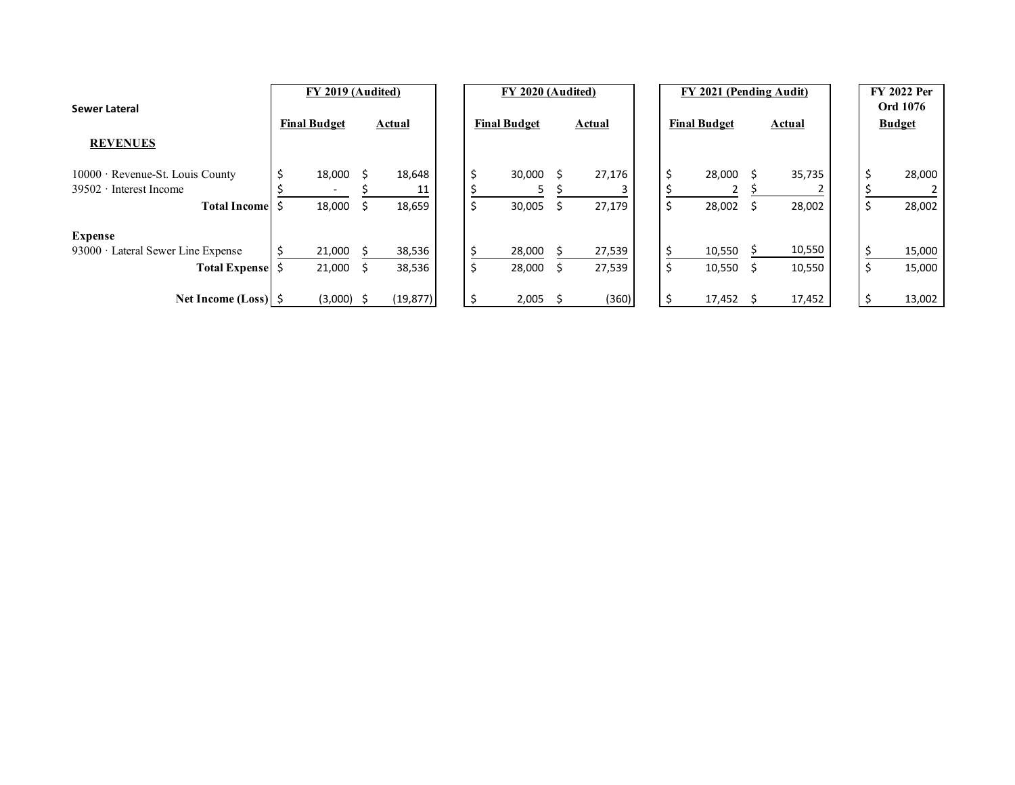| Sewer Lateral                                                           | FY 2019 (Audited)   |                 |  | FY 2020 (Audited)   |    |               |  | FY 2021 (Pending Audit) |               |  | <b>FY 2022 Per</b><br><b>Ord 1076</b> |
|-------------------------------------------------------------------------|---------------------|-----------------|--|---------------------|----|---------------|--|-------------------------|---------------|--|---------------------------------------|
|                                                                         | <b>Final Budget</b> | <b>Actual</b>   |  | <b>Final Budget</b> |    | <b>Actual</b> |  | <b>Final Budget</b>     | <b>Actual</b> |  | <b>Budget</b>                         |
| <b>REVENUES</b>                                                         |                     |                 |  |                     |    |               |  |                         |               |  |                                       |
| $10000 \cdot$ Revenue-St. Louis County<br>$39502 \cdot$ Interest Income | 18,000              | 18,648          |  | \$<br>30,000        |    | 27,176        |  | 28,000                  | 35,735        |  | 28,000                                |
| <b>Total Income</b>                                                     | 18,000              | 18,659          |  | \$<br>30,005        |    | 27,179        |  | 28,002                  | 28,002        |  | 28,002                                |
| <b>Expense</b>                                                          |                     |                 |  |                     |    |               |  |                         |               |  |                                       |
| 93000 · Lateral Sewer Line Expense                                      | 21,000              | 38,536          |  | 28,000              |    | 27,539        |  | 10,550                  | 10,550        |  | 15,000                                |
| <b>Total Expense</b>                                                    | 21,000<br>Ŝ         | 38,536          |  | \$<br>28,000        | -S | 27,539        |  | 10,550                  | 10,550        |  | 15,000                                |
| Net Income (Loss) $\frac{1}{2}$                                         | (3,000)             | (19, 877)<br>-S |  | \$<br>$2,005$ \$    |    | (360)         |  | 17,452                  | 17,452        |  | 13,002                                |